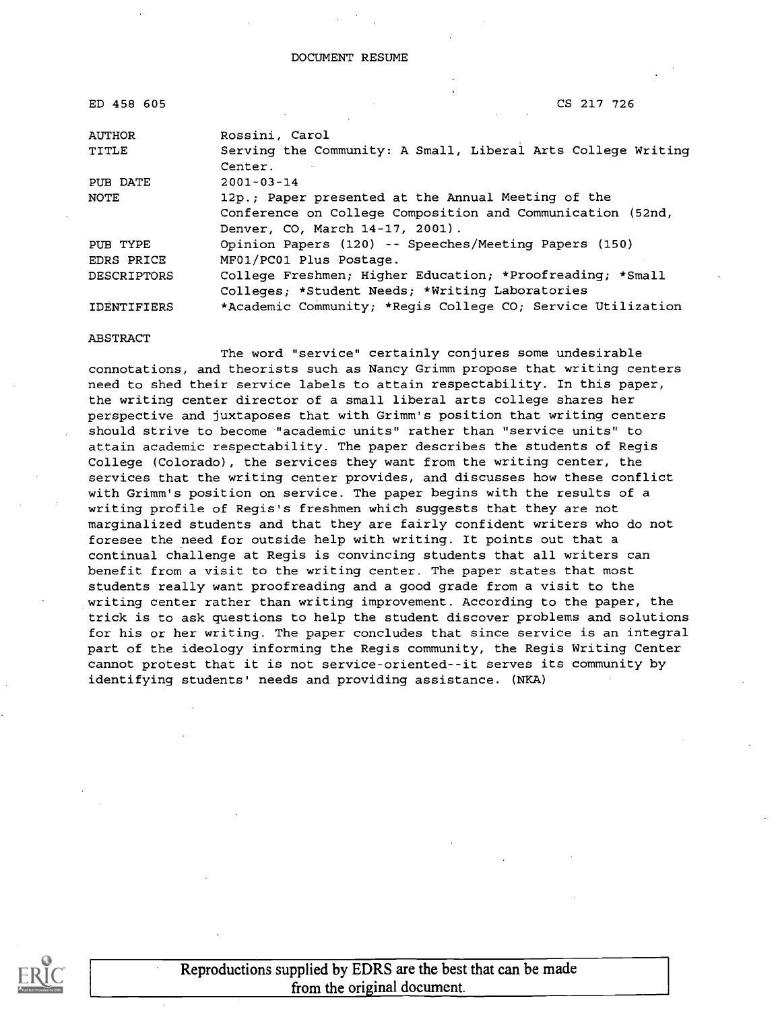| ED 458 605         | CS 217 726                                                   |  |  |
|--------------------|--------------------------------------------------------------|--|--|
| <b>AUTHOR</b>      | Rossini, Carol                                               |  |  |
| TITLE              | Serving the Community: A Small, Liberal Arts College Writing |  |  |
|                    | Center.                                                      |  |  |
| PUB DATE           | $2001 - 03 - 14$                                             |  |  |
| <b>NOTE</b>        | 12p.; Paper presented at the Annual Meeting of the           |  |  |
|                    | Conference on College Composition and Communication (52nd,   |  |  |
|                    | Denver, CO, March 14-17, 2001).                              |  |  |
| PUB TYPE           | Opinion Papers (120) -- Speeches/Meeting Papers (150)        |  |  |
| EDRS PRICE         | MF01/PC01 Plus Postage.                                      |  |  |
| <b>DESCRIPTORS</b> | College Freshmen; Higher Education; *Proofreading; *Small    |  |  |
|                    | Colleges; *Student Needs; *Writing Laboratories              |  |  |
| <b>IDENTIFIERS</b> | *Academic Community; *Regis College CO; Service Utilization  |  |  |

ABSTRACT

The word "service" certainly conjures some undesirable connotations, and theorists such as Nancy Grimm propose that writing centers need to shed their service labels to attain respectability. In this paper, the writing center director of a small liberal arts college shares her perspective and juxtaposes that with Grimm's position that writing centers should strive to become "academic units" rather than "service units" to attain academic respectability. The paper describes the students of Regis College (Colorado) , the services they want from the writing center, the services that the writing center provides, and discusses how these conflict with Grimm's position on service. The paper begins with the results of a writing profile of Regis's freshmen which suggests that they are not marginalized students and that they are fairly confident writers who do not foresee the need for outside help with writing. It points out that a continual challenge at Regis is convincing students that all writers can benefit from a visit to the writing center. The paper states that most students really want proofreading and a good grade from a visit to the writing center rather than writing improvement. According to the paper, the trick is to ask questions to help the student discover problems and solutions for his or her writing. The paper concludes that since service is an integral part of the ideology informing the Regis community, the Regis Writing Center cannot protest that it is not service-oriented--it serves its community by identifying students' needs and providing assistance. (NKA)



Reproductions supplied by EDRS are the best that can be made from the original document.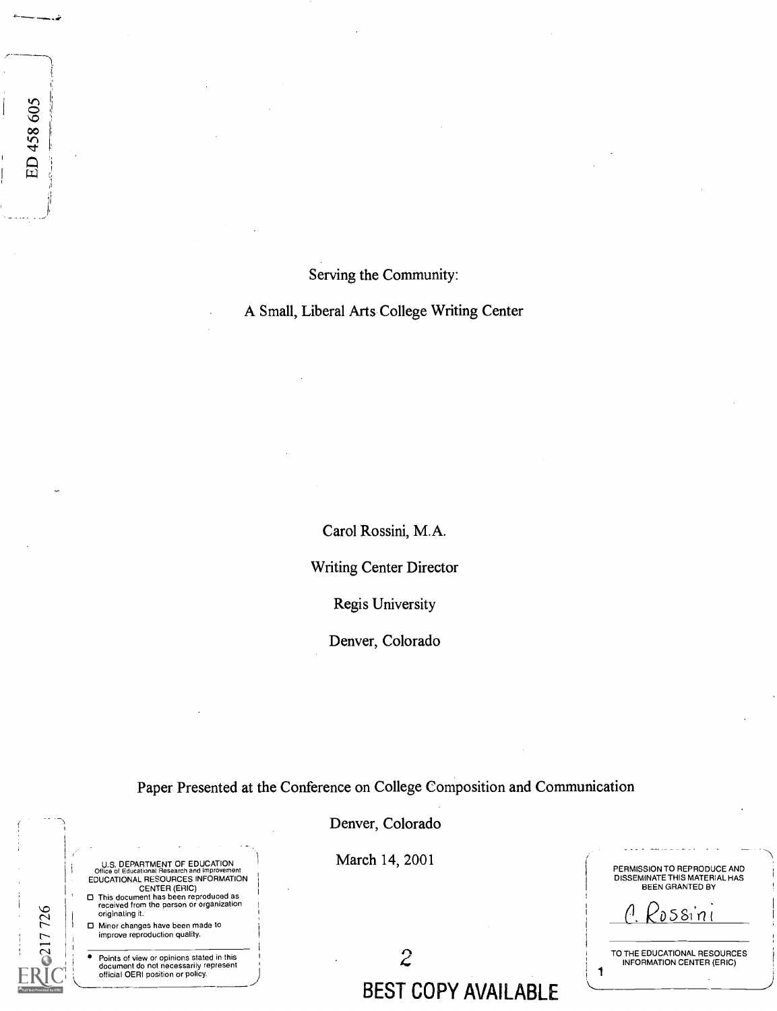Serving the Community:

A Small, Liberal Arts College Writing Center

Carol Rossini, M.A.

Writing Center Director

Regis University

Denver, Colorado

Paper Presented at the Conference on College Composition and Communication

Denver, Colorado

| U.S. DEPARTMENT OF EDUCATION<br>Office of Educational Research and Improvement<br>EDUCATIONAL RESOURCES INFORMATION<br><b>CENTER (ERIC)</b><br>This document has been reproduced as<br>received from the person or organization<br>originating it. | March 14, 2001 | PERMISSION TO REPRODUCE AND<br>DISSEMINATE THIS MATERIAL HAS<br><b>BEEN GRANTED BY</b><br>A Rossini |
|----------------------------------------------------------------------------------------------------------------------------------------------------------------------------------------------------------------------------------------------------|----------------|-----------------------------------------------------------------------------------------------------|
| Minor changes have been made to<br>improve reproduction quality.                                                                                                                                                                                   |                |                                                                                                     |
| Points of view or opinions stated in this<br>document do not necessarily represent<br>official OERI position or policy.                                                                                                                            |                | TO THE EDUCATIONAL RESOURCES<br><b>INFORMATION CENTER (ERIC)</b>                                    |

- O This document has been reproduced as received from the person or organization originating it.
- O Minor changes have been made to improve reproduction quality.

7726

**C** Department Points of view or opinions stated in this document do not necessarily represent official OERI position or policy.

2 BEST COPY AVAILABLE

ED 458 605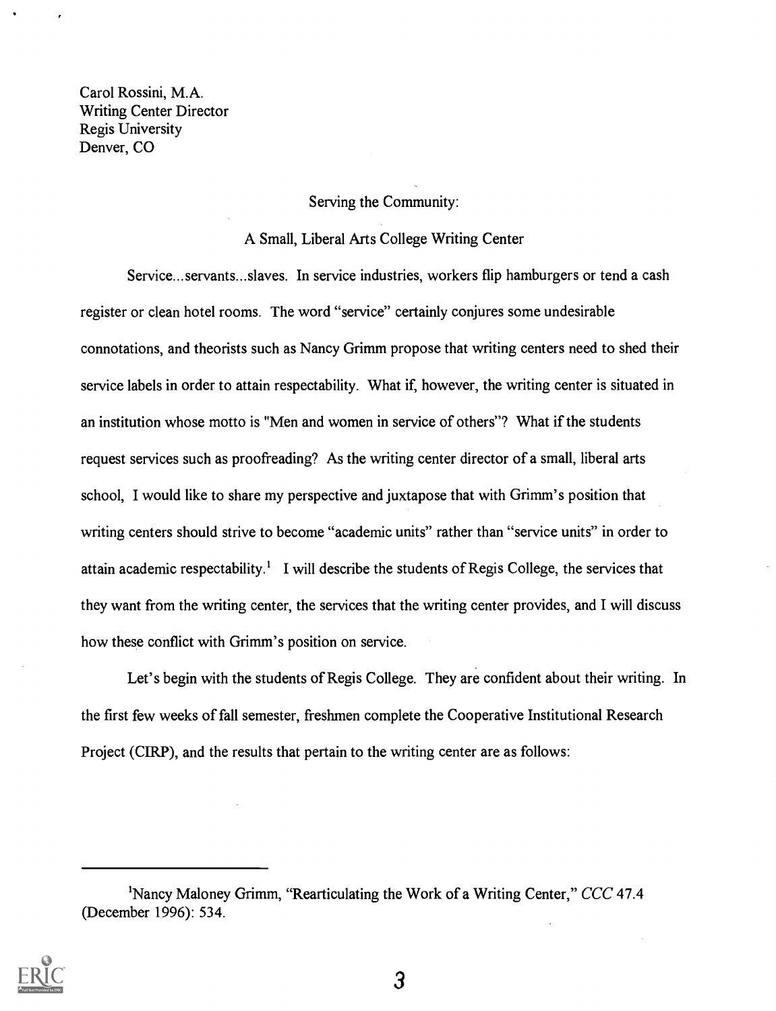Carol Rossini, M.A. Writing Center Director Regis University Denver, CO

#### Serving the Community:

#### A Small, Liberal Arts College Writing Center

Service...servants...slaves. In service industries, workers flip hamburgers or tend a cash register or clean hotel rooms. The word "service" certainly conjures some undesirable connotations, and theorists such as Nancy Grimm propose that writing centers need to shed their service labels in order to attain respectability. What if, however, the writing center is situated in an institution whose motto is "Men and women in service of others"? What if the students request services such as proofreading? As the writing center director of a small, liberal arts school, I would like to share my perspective and juxtapose that with Grimm's position that writing centers should strive to become "academic units" rather than "service units" in order to attain academic respectability.<sup>1</sup> I will describe the students of Regis College, the services that they want from the writing center, the services that the writing center provides, and I will discuss how these conflict with Grimm's position on service.

Let's begin with the students of Regis College. They are confident about their writing. In the first few weeks of fall semester, freshmen complete the Cooperative Institutional Research Project (CIRP), and the results that pertain to the writing center are as follows:

<sup>&#</sup>x27;Nancy Maloney Grimm, "Rearticulating the Work of a Writing Center," CCC 47.4 (December 1996): 534.

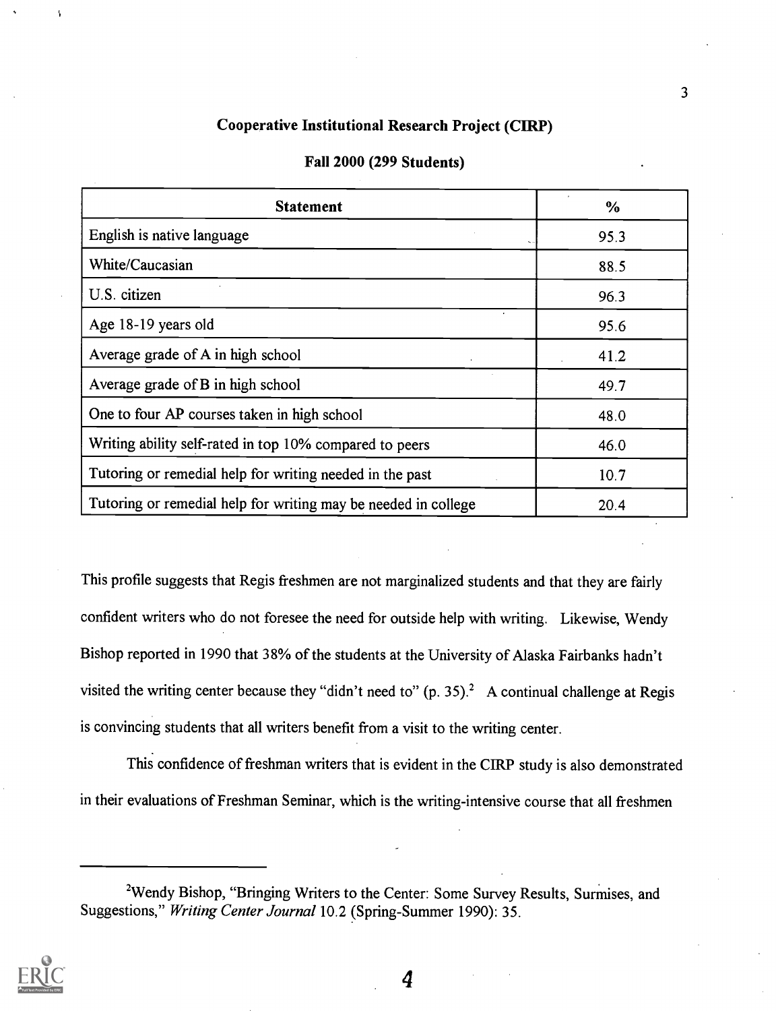## Cooperative Institutional Research Project (CIRP)

| <b>Statement</b>                                               | $\frac{0}{0}$ |
|----------------------------------------------------------------|---------------|
| English is native language                                     | 95.3          |
| White/Caucasian                                                | 88.5          |
| U.S. citizen                                                   | 96.3          |
| Age 18-19 years old                                            | 95.6          |
| Average grade of A in high school                              | 41.2          |
| Average grade of B in high school                              | 49.7          |
| One to four AP courses taken in high school                    | 48.0          |
| Writing ability self-rated in top 10% compared to peers        | 46.0          |
| Tutoring or remedial help for writing needed in the past       | 10.7          |
| Tutoring or remedial help for writing may be needed in college | 20.4          |

#### Fall 2000 (299 Students)

This profile suggests that Regis freshmen are not marginalized students and that they are fairly confident writers who do not foresee the need for outside help with writing. Likewise, Wendy Bishop reported in 1990 that 38% of the students at the University of Alaska Fairbanks hadn't visited the writing center because they "didn't need to" (p. 35).<sup>2</sup> A continual challenge at Regis is convincing students that all writers benefit from a visit to the writing center.

This confidence of freshman writers that is evident in the CIRP study is also demonstrated in their evaluations of Freshman Seminar, which is the writing-intensive course that all freshmen

<sup>2</sup>Wendy Bishop, "Bringing Writers to the Center: Some Survey Results, Surmises, and Suggestions," Writing Center Journal 10.2 (Spring-Summer 1990): 35.

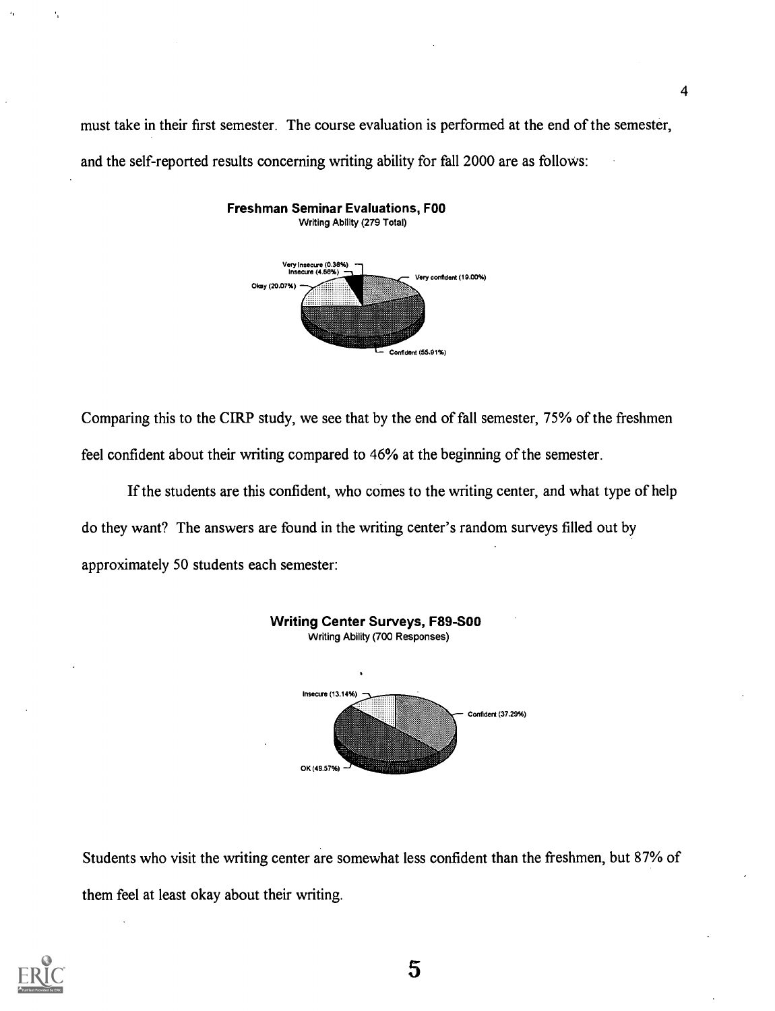must take in their first semester. The course evaluation is performed at the end of the semester, and the self-reported results concerning writing ability for fall 2000 are as follows:



Freshman Seminar Evaluations, FOO Writing Ability (279 Total)

Comparing this to the C1RP study, we see that by the end of fall semester, 75% of the freshmen feel confident about their writing compared to 46% at the beginning of the semester.

If the students are this confident, who comes to the writing center, and what type of help do they want? The answers are found in the writing center's random surveys filled out by approximately 50 students each semester:



Students who visit the writing center are somewhat less confident than the freshmen, but 87% of them feel at least okay about their writing.



í,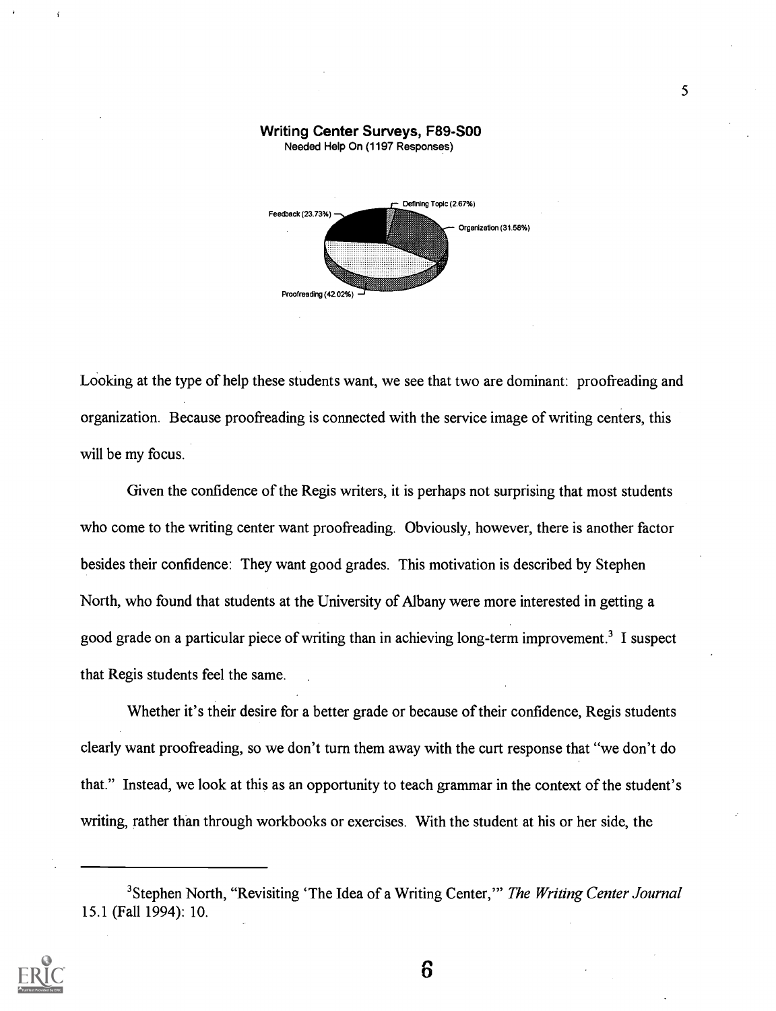

Writing Center Surveys, F89-S00

Looking at the type of help these students want, we see that two are dominant: proofreading and organization. Because proofreading is connected with the service image of writing centers, this will be my focus.

Given the confidence of the Regis writers, it is perhaps not surprising that most students who come to the writing center want proofreading. Obviously, however, there is another factor besides their confidence: They want good grades. This motivation is described by Stephen North, who found that students at the University of Albany were more interested in getting a good grade on a particular piece of writing than in achieving long-term improvement.<sup>3</sup> I suspect that Regis students feel the same.

Whether it's their desire for a better grade or because of their confidence, Regis students clearly want proofreading, so we don't turn them away with the curt response that "we don't do that." Instead, we look at this as an opportunity to teach grammar in the context of the student's writing, rather than through workbooks or exercises. With the student at his or her side, the

<sup>&</sup>lt;sup>3</sup>Stephen North, "Revisiting 'The Idea of a Writing Center," The Writing Center Journal 15.1 (Fall 1994): 10.

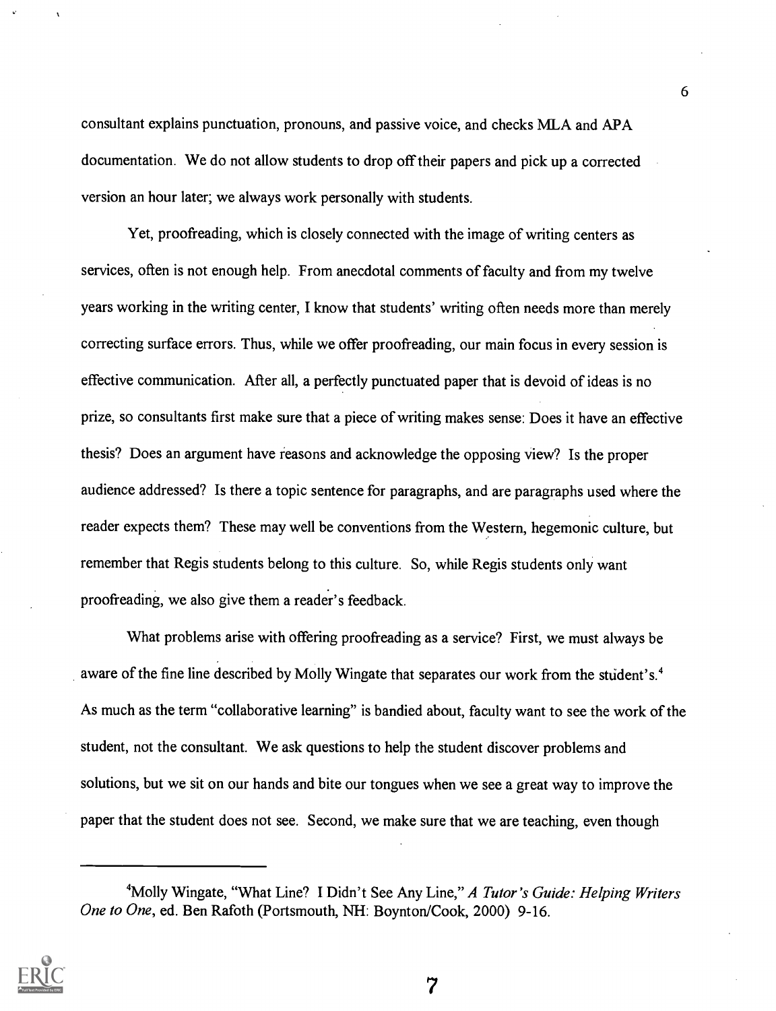consultant explains punctuation, pronouns, and passive voice, and checks MLA and APA documentation. We do not allow students to drop off their papers and pick up a corrected version an hour later; we always work personally with students.

Yet, proofreading, which is closely connected with the image of writing centers as services, often is not enough help. From anecdotal comments of faculty and from my twelve years working in the writing center, I know that students' writing often needs more than merely correcting surface errors. Thus, while we offer proofreading, our main focus in every session is effective communication. After all, a perfectly punctuated paper that is devoid of ideas is no prize, so consultants first make sure that a piece of writing makes sense: Does it have an effective thesis? Does an argument have reasons and acknowledge the opposing view? Is the proper audience addressed? Is there a topic sentence for paragraphs, and are paragraphs used where the reader expects them? These may well be conventions from the Western, hegemonic culture, but remember that Regis students belong to this culture. So, while Regis students only want proofreading, we also give them a reader's feedback.

What problems arise with offering proofreading as a service? First, we must always be aware of the fine line described by Molly Wingate that separates our work from the student's.<sup>4</sup> As much as the term "collaborative learning" is bandied about, faculty want to see the work of the student, not the consultant. We ask questions to help the student discover problems and solutions, but we sit on our hands and bite our tongues when we see a great way to improve the paper that the student does not see. Second, we make sure that we are teaching, even though

7



<sup>&</sup>lt;sup>4</sup>Molly Wingate, "What Line? I Didn't See Any Line," A Tutor's Guide: Helping Writers One to One, ed. Ben Rafoth (Portsmouth, NH: Boynton/Cook, 2000) 9-16.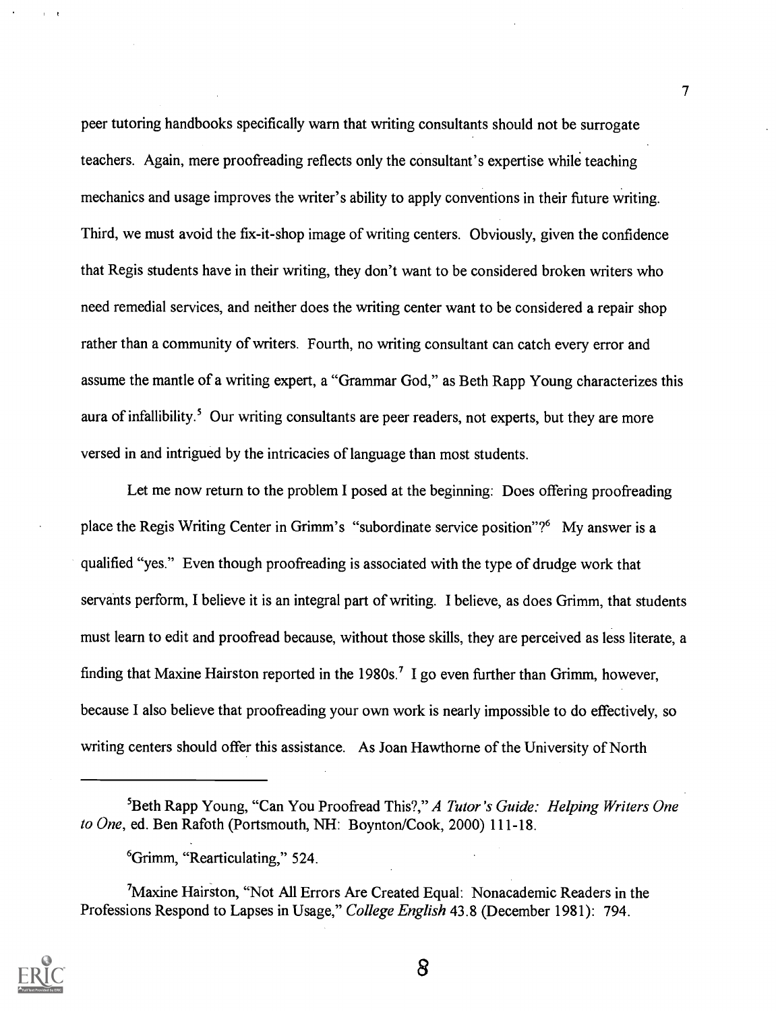peer tutoring handbooks specifically warn that writing consultants should not be surrogate teachers. Again, mere proofreading reflects only the consultant's expertise while teaching mechanics and usage improves the writer's ability to apply conventions in their future writing. Third, we must avoid the fix-it-shop image of writing centers. Obviously, given the confidence that Regis students have in their writing, they don't want to be considered broken writers who need remedial services, and neither does the writing center want to be considered a repair shop rather than a community of writers. Fourth, no writing consultant can catch every error and assume the mantle of a writing expert, a "Grammar God," as Beth Rapp Young characterizes this aura of infallibility.<sup>5</sup> Our writing consultants are peer readers, not experts, but they are more versed in and intrigued by the intricacies of language than most students.

Let me now return to the problem I posed at the beginning: Does offering proofreading place the Regis Writing Center in Grimm's "subordinate service position"?<sup>6</sup> My answer is a qualified "yes." Even though proofreading is associated with the type of drudge work that servants perform, I believe it is an integral part of writing. I believe, as does Grimm, that students must learn to edit and proofread because, without those skills, they are perceived as less literate, a finding that Maxine Hairston reported in the 1980s.<sup>7</sup> I go even further than Grimm, however, because I also believe that proofreading your own work is nearly impossible to do effectively, so writing centers should offer this assistance. As Joan Hawthorne of the University of North

 $M<sup>7</sup>$ Maxine Hairston, "Not All Errors Are Created Equal: Nonacademic Readers in the Professions Respond to Lapses in Usage," College English 43.8 (December 1981): 794.



8

<sup>&</sup>lt;sup>5</sup>Beth Rapp Young, "Can You Proofread This?," A Tutor's Guide: Helping Writers One to One, ed. Ben Rafoth (Portsmouth, NH: Boynton/Cook, 2000) 111-18.

<sup>&#</sup>x27;Grimm, "Rearticulating," 524.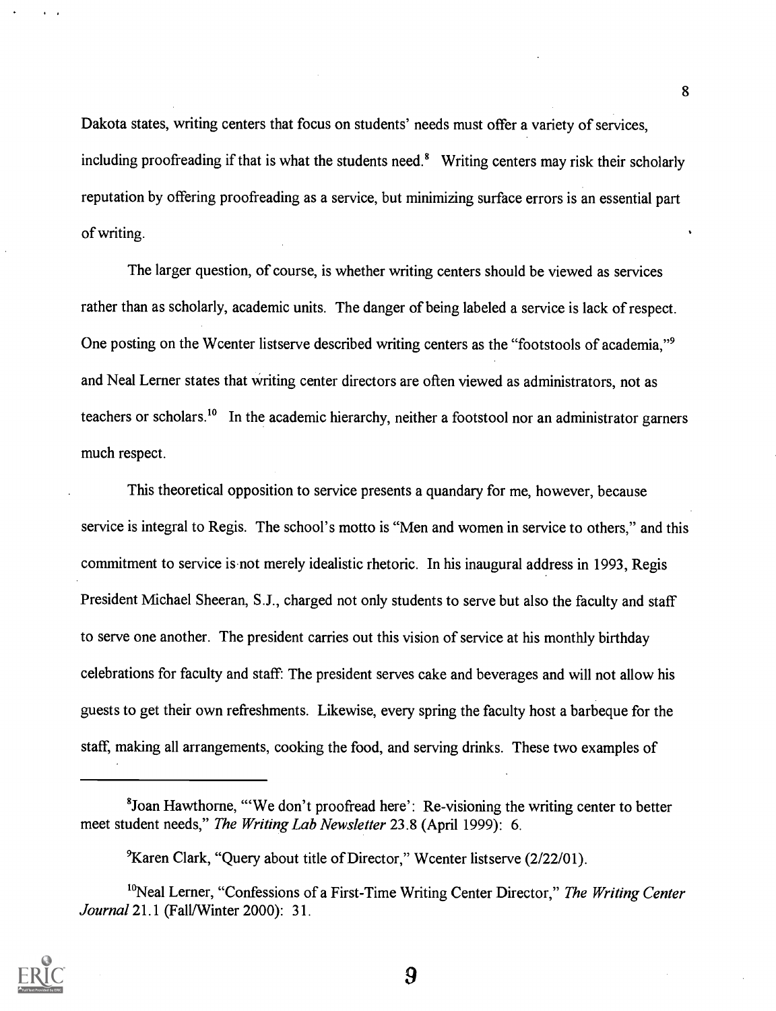Dakota states, writing centers that focus on students' needs must offer a variety of services, including proofreading if that is what the students need.<sup>8</sup> Writing centers may risk their scholarly reputation by offering proofreading as a service, but minimizing surface errors is an essential part of writing.

The larger question, of course, is whether writing centers should be viewed as services rather than as scholarly, academic units. The danger of being labeled a service is lack of respect. One posting on the Wcenter listserve described writing centers as the "footstools of academia,"<sup>9</sup> and Neal Lerner states that Writing center directors are often viewed as administrators, not as teachers or scholars.<sup>10</sup> In the academic hierarchy, neither a footstool nor an administrator garners much respect.

This theoretical opposition to service presents a quandary for me, however, because service is integral to Regis. The school's motto is "Men and women in service to others," and this commitment to service is not merely idealistic rhetoric. In his inaugural address in 1993, Regis President Michael Sheeran, S.J., charged not only students to serve but also the faculty and staff to serve one another. The president carries out this vision of service at his monthly birthday celebrations for faculty and staff: The president serves cake and beverages and will not allow his guests to get their own refreshments. Likewise, every spring the faculty host a barbeque for the staff, making all arrangements, cooking the food, and serving drinks. These two examples of

<sup>&</sup>lt;sup>10</sup>Neal Lerner, "Confessions of a First-Time Writing Center Director," The Writing Center Journal 21.1 (Fall/Winter 2000): 31.



8

<sup>&#</sup>x27;Joan Hawthorne, "We don't proofread here': Re-visioning the writing center to better meet student needs," The Writing Lab Newsletter 23.8 (April 1999): 6.

<sup>&#</sup>x27;Karen Clark, "Query about title of Director," Wcenter listserve (2/22/01).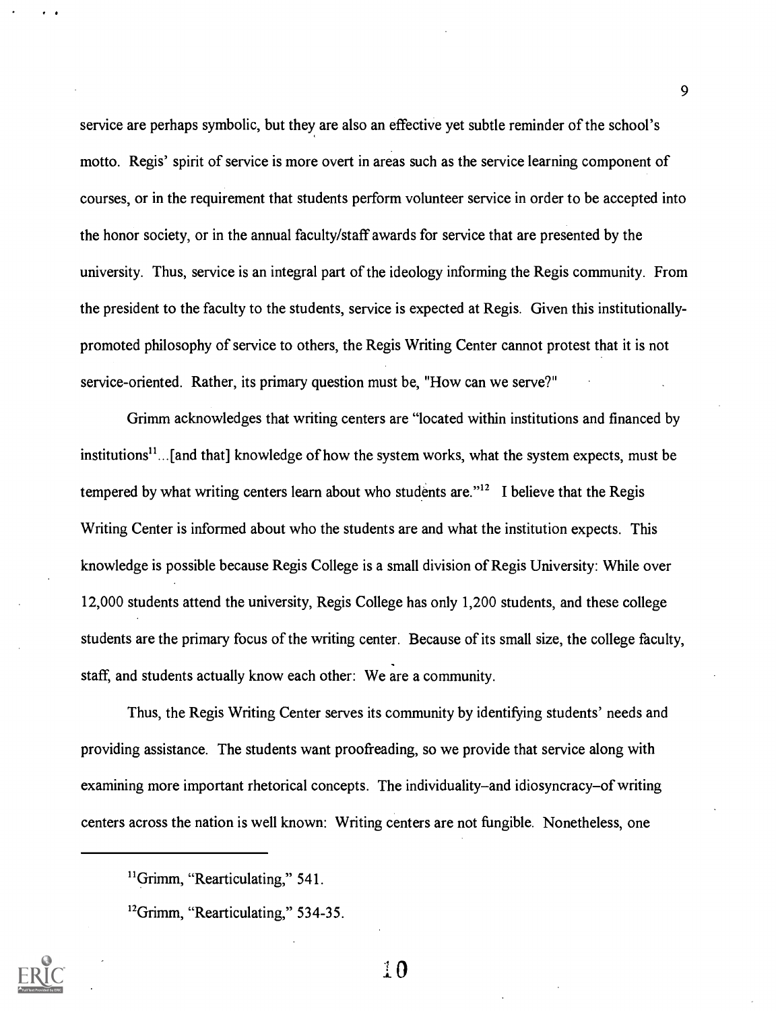service are perhaps symbolic, but they are also an effective yet subtle reminder of the school's motto. Regis' spirit of service is more overt in areas such as the service learning component of courses, or in the requirement that students perform volunteer service in order to be accepted into the honor society, or in the annual faculty/staff awards for service that are presented by the university. Thus, service is an integral part of the ideology informing the Regis community. From the president to the faculty to the students, service is expected at Regis. Given this institutionallypromoted philosophy of service to others, the Regis Writing Center cannot protest that it is not service-oriented. Rather, its primary question must be, "How can we serve?"

Grimm acknowledges that writing centers are "located within institutions and financed by institutions $<sup>11</sup>$ ...[and that] knowledge of how the system works, what the system expects, must be</sup> tempered by what writing centers learn about who students are." $12$  I believe that the Regis Writing Center is informed about who the students are and what the institution expects. This knowledge is possible because Regis College is a small division of Regis University: While over 12,000 students attend the university, Regis College has only 1,200 students, and these college students are the primary focus of the writing center. Because of its small size, the college faculty, staff, and students actually know each other: We are a community.

Thus, the Regis Writing Center serves its community by identifying students' needs and providing assistance. The students want proofreading, so we provide that service along with examining more important rhetorical concepts. The individuality–and idiosyncracy–of writing centers across the nation is well known: Writing centers are not fimgible. Nonetheless, one



 $\pm 0$ 

 $<sup>11</sup>$ Grimm, "Rearticulating," 541.</sup>

<sup>&</sup>lt;sup>12</sup>Grimm, "Rearticulating," 534-35.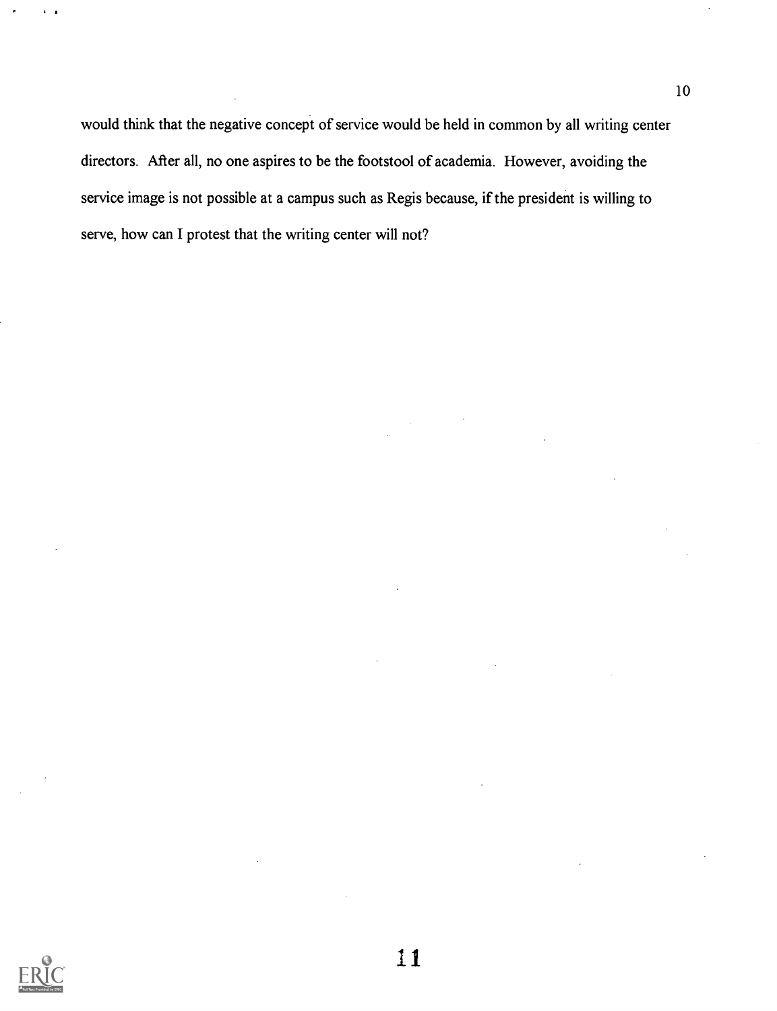would think that the negative concept of service would be held in common by all writing center directors. After all, no one aspires to be the footstool of academia. However, avoiding the service image is not possible at a campus such as Regis because, if the president is willing to serve, how can I protest that the writing center will not?

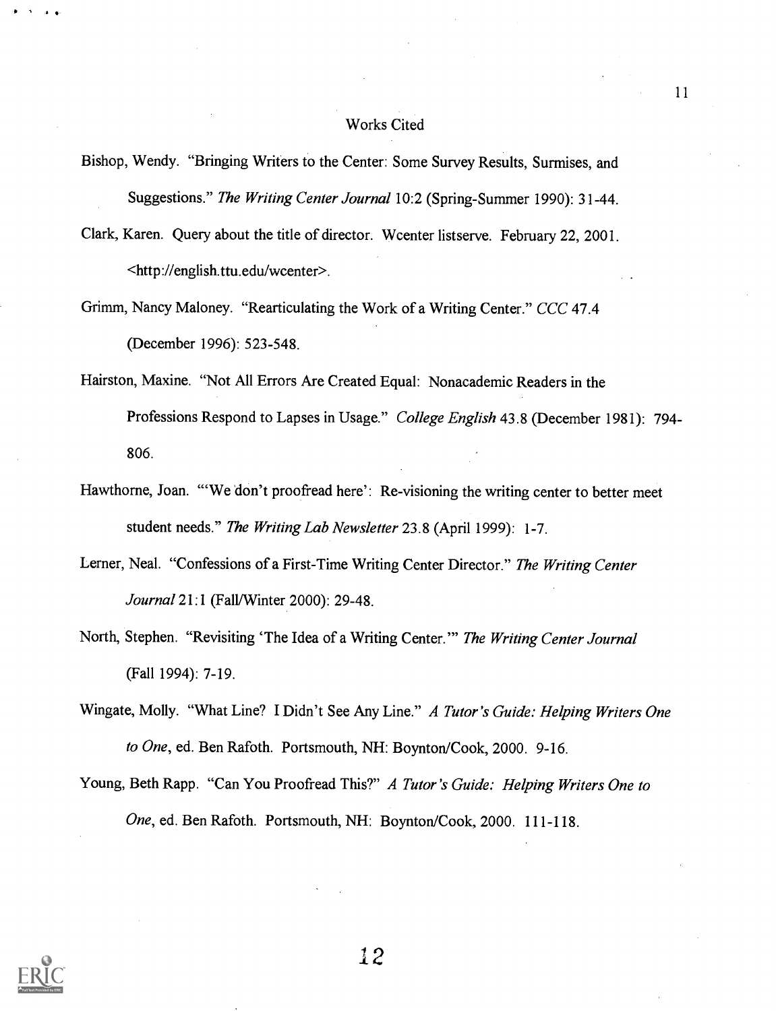#### Works Cited

- Bishop, Wendy. "Bringing Writers to the Center: Some Survey Results, Surmises, and Suggestions." The Writing Center Journal 10:2 (Spring-Summer 1990): 31-44.
- Clark, Karen. Query about the title of director. Wcenter listserve. February 22, 2001. <http://english.ttu.edu/wcenter>.
- Grimm, Nancy Maloney. "Rearticulating the Work of a Writing Center." CCC 47.4 (December 1996): 523-548.
- Hairston, Maxine. "Not All Errors Are Created Equal: Nonacademic Readers in the Professions Respond to Lapses in Usage." College English 43.8 (December 1981): 794- 806.
- Hawthorne, Joan. "'We don't proofread here': Re-visioning the writing center to better meet student needs." The Writing Lab Newsletter 23.8 (April 1999): 1-7.
- Lerner, Neal. "Confessions of a First-Time Writing Center Director." The Writing Center Journal 21:1 (Fall/Winter 2000): 29-48.
- North, Stephen. "Revisiting 'The Idea of a Writing Center." The Writing Center Journal (Fall 1994): 7-19.
- Wingate, Molly. "What Line? I Didn't See Any Line." A Tutor's Guide: Helping Writers One to One, ed. Ben Rafoth. Portsmouth, NH: Boynton/Cook, 2000. 9-16.
- Young, Beth Rapp. "Can You Proofread This?" A Tutor's Guide: Helping Writers One to One, ed. Ben Rafoth. Portsmouth, NH: Boynton/Cook, 2000. 111-118.



 $\blacksquare$